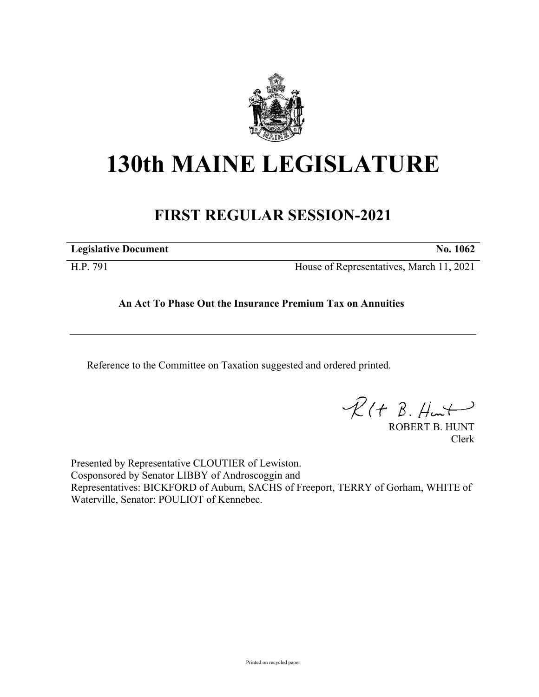

# **130th MAINE LEGISLATURE**

# **FIRST REGULAR SESSION-2021**

**Legislative Document No. 1062**

H.P. 791 House of Representatives, March 11, 2021

# **An Act To Phase Out the Insurance Premium Tax on Annuities**

Reference to the Committee on Taxation suggested and ordered printed.

 $\mathcal{R}(t \; \mathcal{B}, \#m)$ 

ROBERT B. HUNT Clerk

Presented by Representative CLOUTIER of Lewiston. Cosponsored by Senator LIBBY of Androscoggin and Representatives: BICKFORD of Auburn, SACHS of Freeport, TERRY of Gorham, WHITE of Waterville, Senator: POULIOT of Kennebec.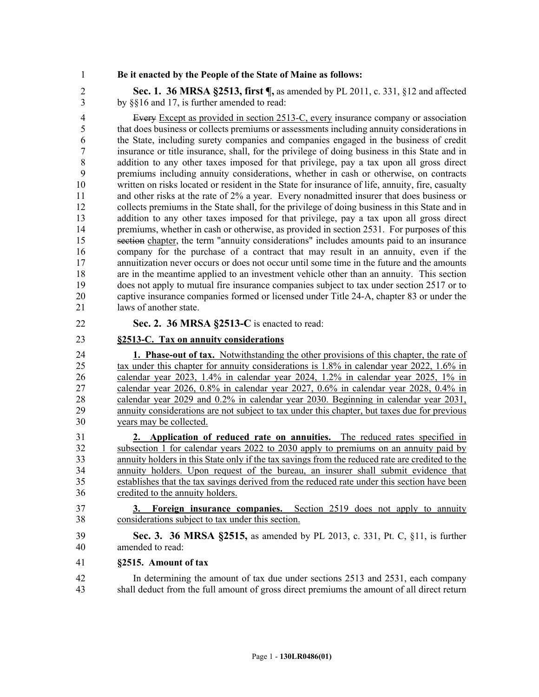#### 1 **Be it enacted by the People of the State of Maine as follows:**

2 **Sec. 1. 36 MRSA §2513, first ¶,** as amended by PL 2011, c. 331, §12 and affected 3 by §§16 and 17, is further amended to read:

4 Every Except as provided in section 2513-C, every insurance company or association 5 that does business or collects premiums or assessments including annuity considerations in 6 the State, including surety companies and companies engaged in the business of credit 7 insurance or title insurance, shall, for the privilege of doing business in this State and in 8 addition to any other taxes imposed for that privilege, pay a tax upon all gross direct 9 premiums including annuity considerations, whether in cash or otherwise, on contracts 10 written on risks located or resident in the State for insurance of life, annuity, fire, casualty 11 and other risks at the rate of 2% a year. Every nonadmitted insurer that does business or 12 collects premiums in the State shall, for the privilege of doing business in this State and in 13 addition to any other taxes imposed for that privilege, pay a tax upon all gross direct 14 premiums, whether in cash or otherwise, as provided in section 2531. For purposes of this 15 section chapter, the term "annuity considerations" includes amounts paid to an insurance 16 company for the purchase of a contract that may result in an annuity, even if the 17 annuitization never occurs or does not occur until some time in the future and the amounts 18 are in the meantime applied to an investment vehicle other than an annuity. This section 19 does not apply to mutual fire insurance companies subject to tax under section 2517 or to 20 captive insurance companies formed or licensed under Title 24-A, chapter 83 or under the 21 laws of another state.

### 22 **Sec. 2. 36 MRSA §2513-C** is enacted to read:

## 23 **§2513-C. Tax on annuity considerations**

24 **1. Phase-out of tax.** Notwithstanding the other provisions of this chapter, the rate of 25 tax under this chapter for annuity considerations is 1.8% in calendar year 2022, 1.6% in 26 calendar year 2023, 1.4% in calendar year 2024, 1.2% in calendar year 2025, 1% in 27 calendar year 2026, 0.8% in calendar year 2027, 0.6% in calendar year 2028, 0.4% in 28 calendar year 2029 and 0.2% in calendar year 2030. Beginning in calendar year 2031, 29 annuity considerations are not subject to tax under this chapter, but taxes due for previous 30 years may be collected.

31 **2. Application of reduced rate on annuities.** The reduced rates specified in 32 subsection 1 for calendar years 2022 to 2030 apply to premiums on an annuity paid by 33 annuity holders in this State only if the tax savings from the reduced rate are credited to the 34 annuity holders. Upon request of the bureau, an insurer shall submit evidence that 35 establishes that the tax savings derived from the reduced rate under this section have been 36 credited to the annuity holders.

37 **3. Foreign insurance companies.** Section 2519 does not apply to annuity 38 considerations subject to tax under this section.

39 **Sec. 3. 36 MRSA §2515,** as amended by PL 2013, c. 331, Pt. C, §11, is further 40 amended to read:

#### 41 **§2515. Amount of tax**

42 In determining the amount of tax due under sections 2513 and 2531, each company 43 shall deduct from the full amount of gross direct premiums the amount of all direct return